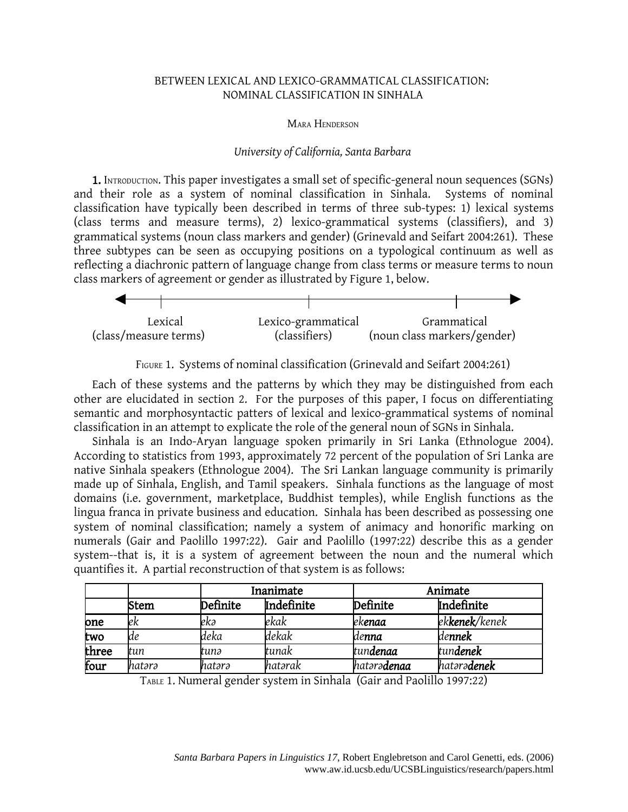# BETWEEN LEXICAL AND LEXICO-GRAMMATICAL CLASSIFICATION: NOMINAL CLASSIFICATION IN SINHALA

### MARA HENDERSON

## *University of California, Santa Barbara*

1. INTRODUCTION. This paper investigates a small set of specific-general noun sequences (SGNs) and their role as a system of nominal classification in Sinhala. Systems of nominal classification have typically been described in terms of three sub-types: 1) lexical systems (class terms and measure terms), 2) lexico-grammatical systems (classifiers), and 3) grammatical systems (noun class markers and gender) (Grinevald and Seifart 2004:261). These three subtypes can be seen as occupying positions on a typological continuum as well as reflecting a diachronic pattern of language change from class terms or measure terms to noun class markers of agreement or gender as illustrated by Figure 1, below.



FIGURE 1. Systems of nominal classification (Grinevald and Seifart 2004:261)

Each of these systems and the patterns by which they may be distinguished from each other are elucidated in section 2. For the purposes of this paper, I focus on differentiating semantic and morphosyntactic patters of lexical and lexico-grammatical systems of nominal classification in an attempt to explicate the role of the general noun of SGNs in Sinhala.

Sinhala is an Indo-Aryan language spoken primarily in Sri Lanka (Ethnologue 2004). According to statistics from 1993, approximately 72 percent of the population of Sri Lanka are native Sinhala speakers (Ethnologue 2004). The Sri Lankan language community is primarily made up of Sinhala, English, and Tamil speakers. Sinhala functions as the language of most domains (i.e. government, marketplace, Buddhist temples), while English functions as the lingua franca in private business and education. Sinhala has been described as possessing one system of nominal classification; namely a system of animacy and honorific marking on numerals (Gair and Paolillo 1997:22). Gair and Paolillo (1997:22) describe this as a gender system--that is, it is a system of agreement between the noun and the numeral which quantifies it. A partial reconstruction of that system is as follows:

|       |        |          | Inanimate  |                     | Animate                |  |  |
|-------|--------|----------|------------|---------------------|------------------------|--|--|
|       | Stem   | Definite | Indefinite | Definite            | Indefinite             |  |  |
| one   | ek     | ekə      | ekak       | ek <b>enaa</b>      | ek <b>kenek</b> /kenek |  |  |
| two   | de     | deka     | dekak      | lde <b>nna</b>      | dennek                 |  |  |
| three | tun    | tunə     | tunak      | tundenaa            | tundenek               |  |  |
| four  | hatərə | hatərə   | hatərak    | hatərə <b>denaa</b> | hatərə <b>denek</b>    |  |  |

TABLE 1. Numeral gender system in Sinhala (Gair and Paolillo 1997:22)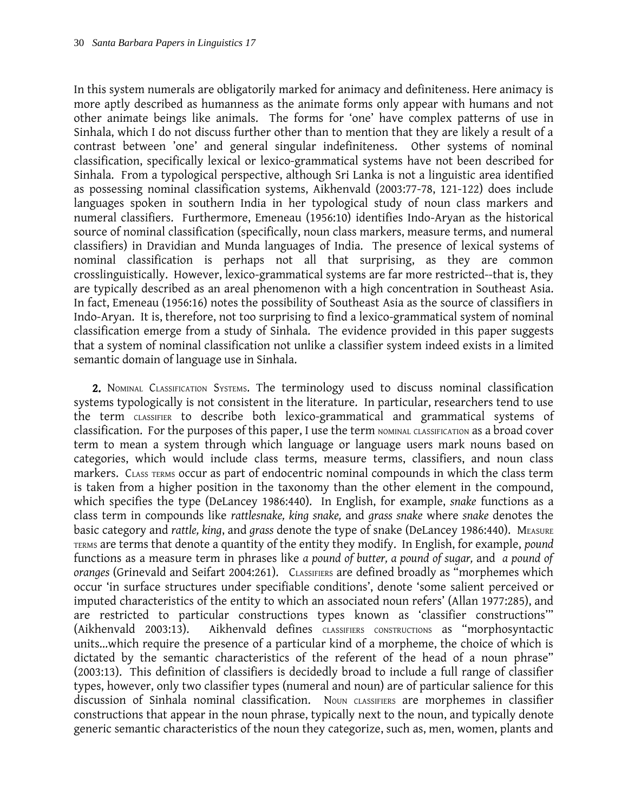In this system numerals are obligatorily marked for animacy and definiteness. Here animacy is more aptly described as humanness as the animate forms only appear with humans and not other animate beings like animals. The forms for 'one' have complex patterns of use in Sinhala, which I do not discuss further other than to mention that they are likely a result of a contrast between 'one' and general singular indefiniteness. Other systems of nominal classification, specifically lexical or lexico-grammatical systems have not been described for Sinhala. From a typological perspective, although Sri Lanka is not a linguistic area identified as possessing nominal classification systems, Aikhenvald (2003:77-78, 121-122) does include languages spoken in southern India in her typological study of noun class markers and numeral classifiers. Furthermore, Emeneau (1956:10) identifies Indo-Aryan as the historical source of nominal classification (specifically, noun class markers, measure terms, and numeral classifiers) in Dravidian and Munda languages of India. The presence of lexical systems of nominal classification is perhaps not all that surprising, as they are common crosslinguistically. However, lexico-grammatical systems are far more restricted--that is, they are typically described as an areal phenomenon with a high concentration in Southeast Asia. In fact, Emeneau (1956:16) notes the possibility of Southeast Asia as the source of classifiers in Indo-Aryan. It is, therefore, not too surprising to find a lexico-grammatical system of nominal classification emerge from a study of Sinhala. The evidence provided in this paper suggests that a system of nominal classification not unlike a classifier system indeed exists in a limited semantic domain of language use in Sinhala.

2. NOMINAL CLASSIFICATION SYSTEMS. The terminology used to discuss nominal classification systems typologically is not consistent in the literature. In particular, researchers tend to use the term CLASSIFIER to describe both lexico-grammatical and grammatical systems of classification. For the purposes of this paper, I use the term NOMINAL CLASSIFICATION as a broad cover term to mean a system through which language or language users mark nouns based on categories, which would include class terms, measure terms, classifiers, and noun class markers. CLASS TERMS occur as part of endocentric nominal compounds in which the class term is taken from a higher position in the taxonomy than the other element in the compound, which specifies the type (DeLancey 1986:440). In English, for example, *snake* functions as a class term in compounds like *rattlesnake, king snake,* and *grass snake* where *snake* denotes the basic category and *rattle*, *king*, and *grass* denote the type of snake (DeLancey 1986:440). MEASURE TERMS are terms that denote a quantity of the entity they modify. In English, for example, *pound* functions as a measure term in phrases like *a pound of butter, a pound of sugar,* and *a pound of oranges* (Grinevald and Seifart 2004:261). CLASSIFIERS are defined broadly as "morphemes which occur 'in surface structures under specifiable conditions', denote 'some salient perceived or imputed characteristics of the entity to which an associated noun refers' (Allan 1977:285), and are restricted to particular constructions types known as 'classifier constructions'" (Aikhenvald 2003:13). Aikhenvald defines CLASSIFIERS CONSTRUCTIONS as "morphosyntactic units...which require the presence of a particular kind of a morpheme, the choice of which is dictated by the semantic characteristics of the referent of the head of a noun phrase" (2003:13). This definition of classifiers is decidedly broad to include a full range of classifier types, however, only two classifier types (numeral and noun) are of particular salience for this discussion of Sinhala nominal classification. Noun classifiers are morphemes in classifier constructions that appear in the noun phrase, typically next to the noun, and typically denote generic semantic characteristics of the noun they categorize, such as, men, women, plants and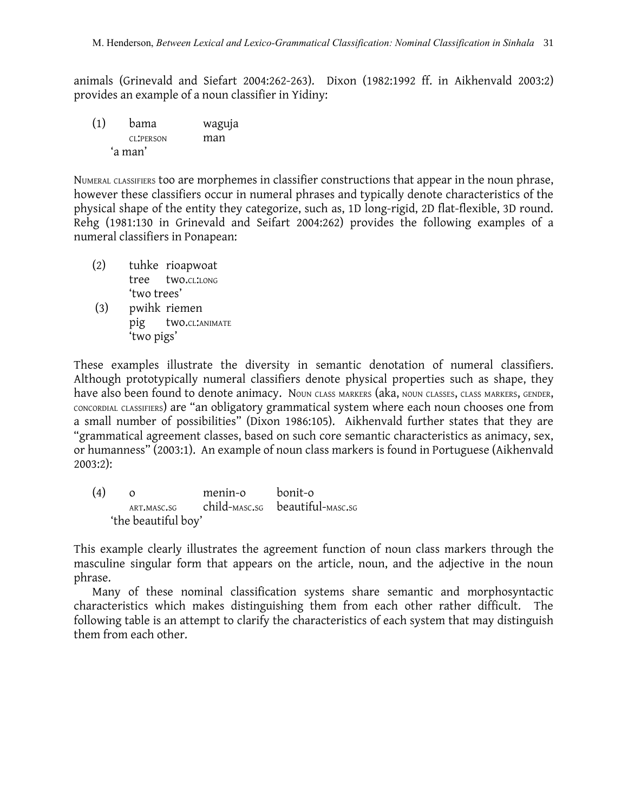animals (Grinevald and Siefart 2004:262-263). Dixon (1982:1992 ff. in Aikhenvald 2003:2) provides an example of a noun classifier in Yidiny:

(1) bama waguja CL:PERSON man 'a man'

NUMERAL CLASSIFIERS too are morphemes in classifier constructions that appear in the noun phrase, however these classifiers occur in numeral phrases and typically denote characteristics of the physical shape of the entity they categorize, such as, 1D long-rigid, 2D flat-flexible, 3D round. Rehg (1981:130 in Grinevald and Seifart 2004:262) provides the following examples of a numeral classifiers in Ponapean:

- (2) tuhke rioapwoat tree two.CL:LONG 'two trees'
- (3) pwihk riemen pig two.CL:ANIMATE 'two pigs'

These examples illustrate the diversity in semantic denotation of numeral classifiers. Although prototypically numeral classifiers denote physical properties such as shape, they have also been found to denote animacy. Noun class MARKERS (aka, NOUN CLASSES, CLASS MARKERS, GENDER, CONCORDIAL CLASSIFIERS) are "an obligatory grammatical system where each noun chooses one from a small number of possibilities" (Dixon 1986:105). Aikhenvald further states that they are "grammatical agreement classes, based on such core semantic characteristics as animacy, sex, or humanness" (2003:1). An example of noun class markers is found in Portuguese (Aikhenvald 2003:2):

(4) o menin-o bonit-o ART.MASC.SG child-MASC.SG beautiful-MASC.SG 'the beautiful boy'

This example clearly illustrates the agreement function of noun class markers through the masculine singular form that appears on the article, noun, and the adjective in the noun phrase.

Many of these nominal classification systems share semantic and morphosyntactic characteristics which makes distinguishing them from each other rather difficult. The following table is an attempt to clarify the characteristics of each system that may distinguish them from each other.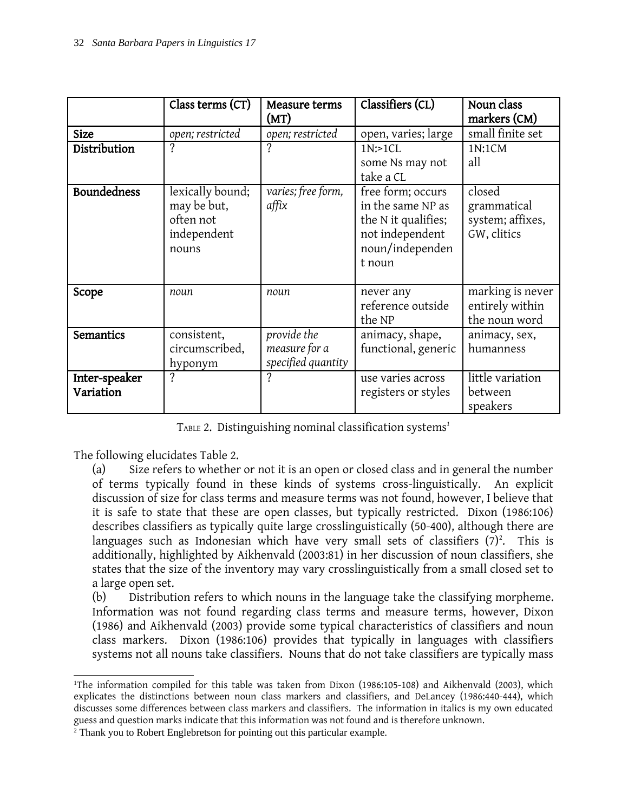|                            | Class terms (CT)                                                     | Measure terms<br>(MT)                              | Classifiers (CL)                                                                                              | Noun class<br>markers (CM)                               |
|----------------------------|----------------------------------------------------------------------|----------------------------------------------------|---------------------------------------------------------------------------------------------------------------|----------------------------------------------------------|
| <b>Size</b>                | open; restricted                                                     | open; restricted                                   | open, varies; large                                                                                           | small finite set                                         |
| Distribution               |                                                                      | ?                                                  | 1N:1CL<br>some Ns may not<br>take a CL                                                                        | 1N:1CM<br>all                                            |
| <b>Boundedness</b>         | lexically bound;<br>may be but,<br>often not<br>independent<br>nouns | varies; free form,<br>affix                        | free form; occurs<br>in the same NP as<br>the N it qualifies;<br>not independent<br>noun/independen<br>t noun | closed<br>grammatical<br>system; affixes,<br>GW, clitics |
| Scope                      | noun                                                                 | noun                                               | never any<br>reference outside<br>the NP                                                                      | marking is never<br>entirely within<br>the noun word     |
| Semantics                  | consistent,<br>circumscribed,<br>hyponym                             | provide the<br>measure for a<br>specified quantity | animacy, shape,<br>functional, generic                                                                        | animacy, sex,<br>humanness                               |
| Inter-speaker<br>Variation | $\gamma$                                                             | $\gamma$                                           | use varies across<br>registers or styles                                                                      | little variation<br>between<br>speakers                  |

TABLE 2. Distinguishing nominal classification systems *[1](#page-3-0)*

The following elucidates Table 2.

(a) Size refers to whether or not it is an open or closed class and in general the number of terms typically found in these kinds of systems cross-linguistically. An explicit discussion of size for class terms and measure terms was not found, however, I believe that it is safe to state that these are open classes, but typically restricted. Dixon (1986:106) describes classifiers as typically quite large crosslinguistically (50-400), although there are languages such as Indonesian which have very small sets of classifiers  $(7)^2$  $(7)^2$ . This is additionally, highlighted by Aikhenvald (2003:81) in her discussion of noun classifiers, she states that the size of the inventory may vary crosslinguistically from a small closed set to a large open set.

(b) Distribution refers to which nouns in the language take the classifying morpheme. Information was not found regarding class terms and measure terms, however, Dixon (1986) and Aikhenvald (2003) provide some typical characteristics of classifiers and noun class markers. Dixon (1986:106) provides that typically in languages with classifiers systems not all nouns take classifiers. Nouns that do not take classifiers are typically mass

<span id="page-3-0"></span><sup>&</sup>lt;sup>1</sup>The information compiled for this table was taken from Dixon (1986:105-108) and Aikhenvald (2003), which explicates the distinctions between noun class markers and classifiers, and DeLancey (1986:440-444), which discusses some differences between class markers and classifiers. The information in italics is my own educated guess and question marks indicate that this information was not found and is therefore unknown.

<span id="page-3-1"></span><sup>2</sup> Thank you to Robert Englebretson for pointing out this particular example.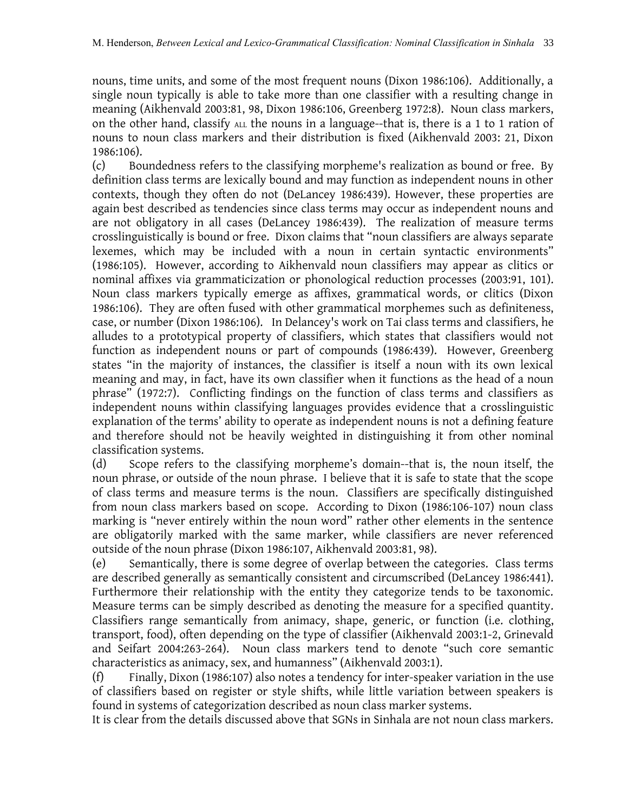nouns, time units, and some of the most frequent nouns (Dixon 1986:106). Additionally, a single noun typically is able to take more than one classifier with a resulting change in meaning (Aikhenvald 2003:81, 98, Dixon 1986:106, Greenberg 1972:8). Noun class markers, on the other hand, classify ALL the nouns in a language--that is, there is a 1 to 1 ration of nouns to noun class markers and their distribution is fixed (Aikhenvald 2003: 21, Dixon 1986:106).

(c) Boundedness refers to the classifying morpheme's realization as bound or free. By definition class terms are lexically bound and may function as independent nouns in other contexts, though they often do not (DeLancey 1986:439). However, these properties are again best described as tendencies since class terms may occur as independent nouns and are not obligatory in all cases (DeLancey 1986:439). The realization of measure terms crosslinguistically is bound or free. Dixon claims that "noun classifiers are always separate lexemes, which may be included with a noun in certain syntactic environments" (1986:105). However, according to Aikhenvald noun classifiers may appear as clitics or nominal affixes via grammaticization or phonological reduction processes (2003:91, 101). Noun class markers typically emerge as affixes, grammatical words, or clitics (Dixon 1986:106). They are often fused with other grammatical morphemes such as definiteness, case, or number (Dixon 1986:106). In Delancey's work on Tai class terms and classifiers, he alludes to a prototypical property of classifiers, which states that classifiers would not function as independent nouns or part of compounds (1986:439). However, Greenberg states "in the majority of instances, the classifier is itself a noun with its own lexical meaning and may, in fact, have its own classifier when it functions as the head of a noun phrase" (1972:7). Conflicting findings on the function of class terms and classifiers as independent nouns within classifying languages provides evidence that a crosslinguistic explanation of the terms' ability to operate as independent nouns is not a defining feature and therefore should not be heavily weighted in distinguishing it from other nominal classification systems.

(d) Scope refers to the classifying morpheme's domain--that is, the noun itself, the noun phrase, or outside of the noun phrase. I believe that it is safe to state that the scope of class terms and measure terms is the noun. Classifiers are specifically distinguished from noun class markers based on scope. According to Dixon (1986:106-107) noun class marking is "never entirely within the noun word" rather other elements in the sentence are obligatorily marked with the same marker, while classifiers are never referenced outside of the noun phrase (Dixon 1986:107, Aikhenvald 2003:81, 98).

(e) Semantically, there is some degree of overlap between the categories. Class terms are described generally as semantically consistent and circumscribed (DeLancey 1986:441). Furthermore their relationship with the entity they categorize tends to be taxonomic. Measure terms can be simply described as denoting the measure for a specified quantity. Classifiers range semantically from animacy, shape, generic, or function (i.e. clothing, transport, food), often depending on the type of classifier (Aikhenvald 2003:1-2, Grinevald and Seifart 2004:263-264). Noun class markers tend to denote "such core semantic characteristics as animacy, sex, and humanness" (Aikhenvald 2003:1).

(f) Finally, Dixon (1986:107) also notes a tendency for inter-speaker variation in the use of classifiers based on register or style shifts, while little variation between speakers is found in systems of categorization described as noun class marker systems.

It is clear from the details discussed above that SGNs in Sinhala are not noun class markers.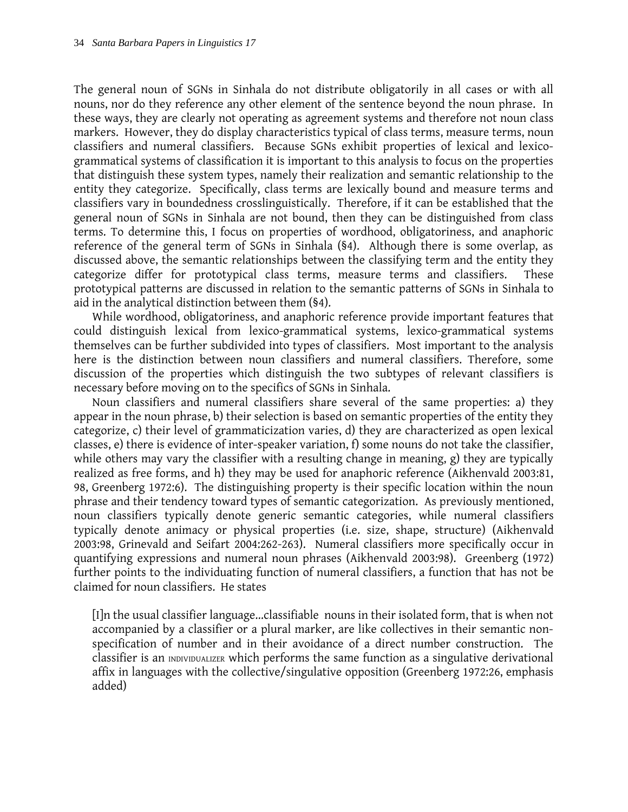The general noun of SGNs in Sinhala do not distribute obligatorily in all cases or with all nouns, nor do they reference any other element of the sentence beyond the noun phrase. In these ways, they are clearly not operating as agreement systems and therefore not noun class markers. However, they do display characteristics typical of class terms, measure terms, noun classifiers and numeral classifiers. Because SGNs exhibit properties of lexical and lexicogrammatical systems of classification it is important to this analysis to focus on the properties that distinguish these system types, namely their realization and semantic relationship to the entity they categorize. Specifically, class terms are lexically bound and measure terms and classifiers vary in boundedness crosslinguistically. Therefore, if it can be established that the general noun of SGNs in Sinhala are not bound, then they can be distinguished from class terms. To determine this, I focus on properties of wordhood, obligatoriness, and anaphoric reference of the general term of SGNs in Sinhala (§4). Although there is some overlap, as discussed above, the semantic relationships between the classifying term and the entity they categorize differ for prototypical class terms, measure terms and classifiers. These prototypical patterns are discussed in relation to the semantic patterns of SGNs in Sinhala to aid in the analytical distinction between them (§4).

While wordhood, obligatoriness, and anaphoric reference provide important features that could distinguish lexical from lexico-grammatical systems, lexico-grammatical systems themselves can be further subdivided into types of classifiers. Most important to the analysis here is the distinction between noun classifiers and numeral classifiers. Therefore, some discussion of the properties which distinguish the two subtypes of relevant classifiers is necessary before moving on to the specifics of SGNs in Sinhala.

Noun classifiers and numeral classifiers share several of the same properties: a) they appear in the noun phrase, b) their selection is based on semantic properties of the entity they categorize, c) their level of grammaticization varies, d) they are characterized as open lexical classes, e) there is evidence of inter-speaker variation, f) some nouns do not take the classifier, while others may vary the classifier with a resulting change in meaning, g) they are typically realized as free forms, and h) they may be used for anaphoric reference (Aikhenvald 2003:81, 98, Greenberg 1972:6). The distinguishing property is their specific location within the noun phrase and their tendency toward types of semantic categorization. As previously mentioned, noun classifiers typically denote generic semantic categories, while numeral classifiers typically denote animacy or physical properties (i.e. size, shape, structure) (Aikhenvald 2003:98, Grinevald and Seifart 2004:262-263). Numeral classifiers more specifically occur in quantifying expressions and numeral noun phrases (Aikhenvald 2003:98). Greenberg (1972) further points to the individuating function of numeral classifiers, a function that has not be claimed for noun classifiers. He states

[I]n the usual classifier language...classifiable nouns in their isolated form, that is when not accompanied by a classifier or a plural marker, are like collectives in their semantic nonspecification of number and in their avoidance of a direct number construction. The classifier is an INDIVIDUALIZER which performs the same function as a singulative derivational affix in languages with the collective/singulative opposition (Greenberg 1972:26, emphasis added)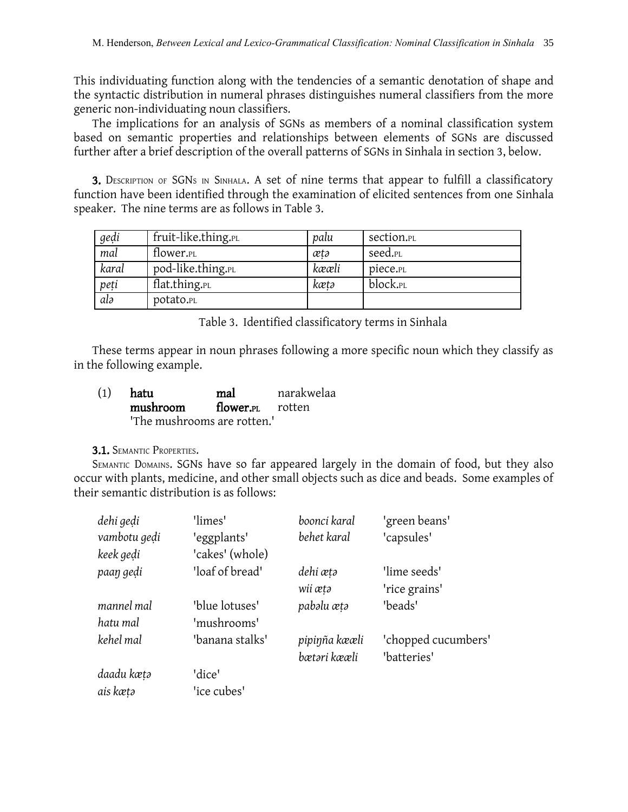This individuating function along with the tendencies of a semantic denotation of shape and the syntactic distribution in numeral phrases distinguishes numeral classifiers from the more generic non-individuating noun classifiers.

The implications for an analysis of SGNs as members of a nominal classification system based on semantic properties and relationships between elements of SGNs are discussed further after a brief description of the overall patterns of SGNs in Sinhala in section 3, below.

3. DESCRIPTION OF SGNS IN SINHALA. A set of nine terms that appear to fulfill a classificatory function have been identified through the examination of elicited sentences from one Sinhala speaker. The nine terms are as follows in Table 3.

| gedi  | fruit-like.thing.PL   | palu  | section.pl          |
|-------|-----------------------|-------|---------------------|
| mal   | flower. <sub>PL</sub> | ætə   | seed. <sub>PL</sub> |
| karal | pod-like.thing.PL     | kææli | piece.pl            |
| peti  | flat.thing.pl         | kætə  | block.pl            |
| alə   | potato.pl             |       |                     |

Table 3. Identified classificatory terms in Sinhala

These terms appear in noun phrases following a more specific noun which they classify as in the following example.

| (1) | hatu                        | mal                          | narakwelaa |
|-----|-----------------------------|------------------------------|------------|
|     | mushroom                    | flower. <sub>PL</sub> rotten |            |
|     | 'The mushrooms are rotten.' |                              |            |

# 3.1. SEMANTIC PROPERTIES.

SEMANTIC DOMAINS. SGNs have so far appeared largely in the domain of food, but they also occur with plants, medicine, and other small objects such as dice and beads. Some examples of their semantic distribution is as follows:

| dehi gedi    | 'limes'         | boonci karal  | 'green beans'       |
|--------------|-----------------|---------------|---------------------|
| vambotu gedi | 'eggplants'     | behet karal   | 'capsules'          |
| keek gedi    | 'cakes' (whole) |               |                     |
| paaŋ gedi    | 'loaf of bread' | dehi ætə      | 'lime seeds'        |
|              |                 | wii ætə       | 'rice grains'       |
| mannel mal   | 'blue lotuses'  | pabəlu ætə    | 'beads'             |
| hatu mal     | 'mushrooms'     |               |                     |
| kehel mal    | 'banana stalks' | pipinña kææli | 'chopped cucumbers' |
|              |                 | bætəri kææli  | "batteries"         |
| daadu kætə   | 'dice'          |               |                     |
| ais kætə     | 'ice cubes'     |               |                     |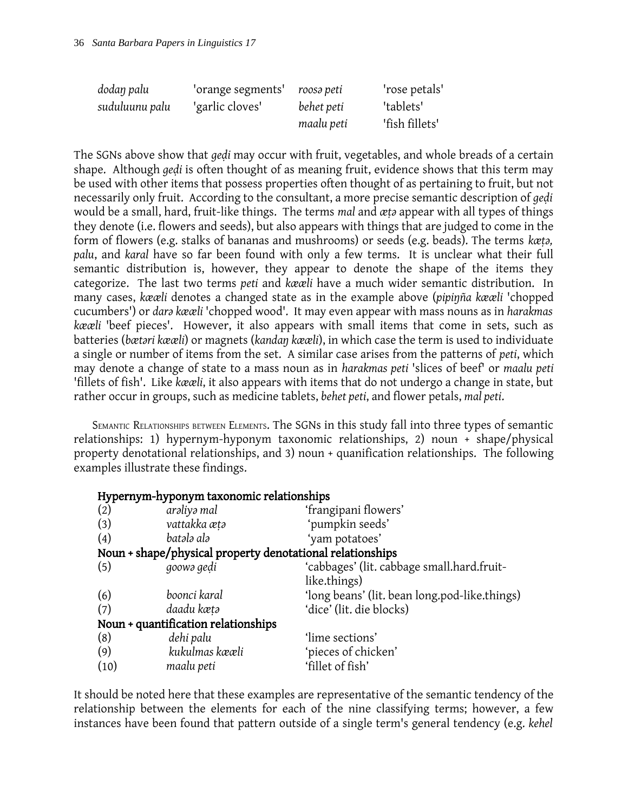| dodan palu     | 'orange segments' | roosə peti | 'rose petals'  |
|----------------|-------------------|------------|----------------|
| suduluunu palu | 'garlic cloves'   | behet peti | 'tablets'      |
|                |                   | maalu peti | 'fish fillets' |

The SGNs above show that *geḍi* may occur with fruit, vegetables, and whole breads of a certain shape. Although *geḍi* is often thought of as meaning fruit, evidence shows that this term may be used with other items that possess properties often thought of as pertaining to fruit, but not necessarily only fruit. According to the consultant, a more precise semantic description of *geḍi* would be a small, hard, fruit-like things. The terms *mal* and  $x_t$  appear with all types of things they denote (i.e. flowers and seeds), but also appears with things that are judged to come in the form of flowers (e.g. stalks of bananas and mushrooms) or seeds (e.g. beads). The terms *kæṭǝ, palu*, and *karal* have so far been found with only a few terms. It is unclear what their full semantic distribution is, however, they appear to denote the shape of the items they categorize. The last two terms *peti* and *kææli* have a much wider semantic distribution. In many cases, *kææli* denotes a changed state as in the example above (*pipiŋña kææli* 'chopped cucumbers') or *darǝ kææli* 'chopped wood'. It may even appear with mass nouns as in *harakmas kææli* 'beef pieces'. However, it also appears with small items that come in sets, such as batteries (*bætǝri kææli*) or magnets (*kandaŋ kææli*), in which case the term is used to individuate a single or number of items from the set. A similar case arises from the patterns of *peti*, which may denote a change of state to a mass noun as in *harakmas peti* 'slices of beef' or *maalu peti* 'fillets of fish'. Like *kææli*, it also appears with items that do not undergo a change in state, but rather occur in groups, such as medicine tablets, *behet peti*, and flower petals, *mal peti*.

SEMANTIC RELATIONSHIPS BETWEEN ELEMENTS. The SGNs in this study fall into three types of semantic relationships: 1) hypernym-hyponym taxonomic relationships, 2) noun + shape/physical property denotational relationships, and 3) noun + quanification relationships. The following examples illustrate these findings.

| Hypernym-hyponym taxonomic relationships |                                                           |                                               |  |  |  |
|------------------------------------------|-----------------------------------------------------------|-----------------------------------------------|--|--|--|
| (2)                                      | arəliyə mal                                               | 'frangipani flowers'                          |  |  |  |
| (3)                                      | vattakka ætə                                              | 'pumpkin seeds'                               |  |  |  |
| (4)                                      | batələ alə                                                | 'yam potatoes'                                |  |  |  |
|                                          | Noun + shape/physical property denotational relationships |                                               |  |  |  |
| (5)                                      | goowa gedi                                                | 'cabbages' (lit. cabbage small.hard.fruit-    |  |  |  |
|                                          |                                                           | like.things)                                  |  |  |  |
| (6)                                      | boonci karal                                              | 'long beans' (lit. bean long.pod-like.things) |  |  |  |
| (7)                                      | daadu kætə                                                | 'dice' (lit. die blocks)                      |  |  |  |
| Noun + quantification relationships      |                                                           |                                               |  |  |  |
| (8)                                      | dehi palu                                                 | 'lime sections'                               |  |  |  |
| (9)                                      | kukulmas kææli                                            | pieces of chicken'                            |  |  |  |
| (10)                                     | maalu peti                                                | 'fillet of fish'                              |  |  |  |

It should be noted here that these examples are representative of the semantic tendency of the relationship between the elements for each of the nine classifying terms; however, a few instances have been found that pattern outside of a single term's general tendency (e.g. *kehel*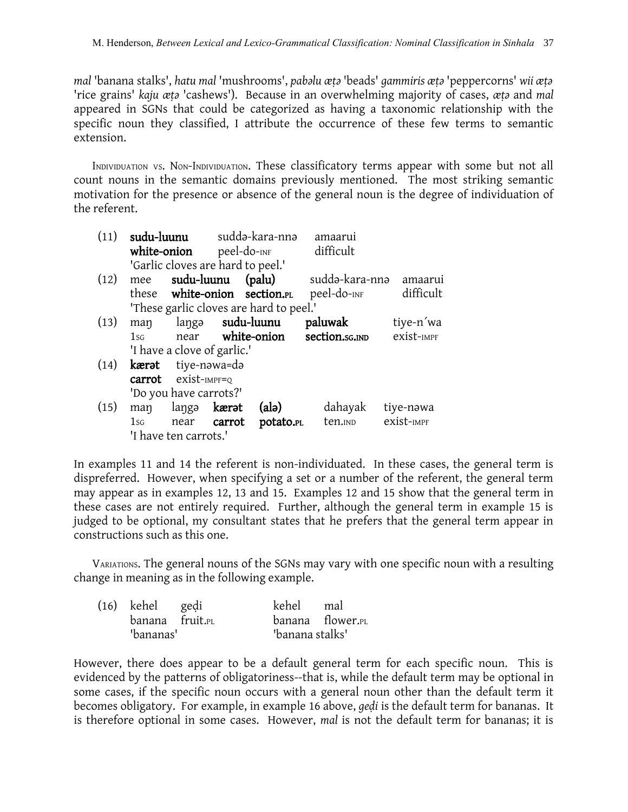*mal* 'banana stalks', *hatu mal* 'mushrooms', *pabǝlu æṭǝ* 'beads' *gammiris æṭǝ* 'peppercorns' *wii æṭǝ* 'rice grains' *kaju æṭǝ* 'cashews'). Because in an overwhelming majority of cases, *æṭǝ* and *mal* appeared in SGNs that could be categorized as having a taxonomic relationship with the specific noun they classified, I attribute the occurrence of these few terms to semantic extension.

INDIVIDUATION VS. NON-INDIVIDUATION. These classificatory terms appear with some but not all count nouns in the semantic domains previously mentioned. The most striking semantic motivation for the presence or absence of the general noun is the degree of individuation of the referent.

| (11) |        |                                   | sudu-luunu sudda-kara-nna |                                         | amaarui                 |            |
|------|--------|-----------------------------------|---------------------------|-----------------------------------------|-------------------------|------------|
|      |        | white-onion                       |                           | peel-do- <sub>INF</sub>                 | difficult               |            |
|      |        | 'Garlic cloves are hard to peel.' |                           |                                         |                         |            |
| (12) | mee    | sudu-luunu                        |                           | (palu)                                  | suddə-kara-nnə          | amaarui    |
|      |        |                                   |                           | these white-onion section.PL            | peel-do- <sub>INF</sub> | difficult  |
|      |        |                                   |                           | 'These garlic cloves are hard to peel.' |                         |            |
| (13) | man    |                                   |                           | langa sudu-luunu                        | paluwak                 | tiye-n'wa  |
|      | $1$ sg |                                   |                           | near white-onion                        | section.sg.ind          | exist-IMPF |
|      |        | 'I have a clove of garlic.'       |                           |                                         |                         |            |
| (14) |        | <b>kærət</b> tiye-nəwa=də         |                           |                                         |                         |            |
|      |        | $carrot$ exist-IMPF=Q             |                           |                                         |                         |            |
|      |        | 'Do you have carrots?'            |                           |                                         |                         |            |
| (15) | man    | langa <b>kærat</b>                |                           | (alə)                                   | dahayak                 | tiye-nəwa  |
|      | $1$ sg | near carrot                       |                           | potato.PL                               | ten.IND                 | exist-IMPF |
|      |        | 'I have ten carrots.'             |                           |                                         |                         |            |

In examples 11 and 14 the referent is non-individuated. In these cases, the general term is dispreferred. However, when specifying a set or a number of the referent, the general term may appear as in examples 12, 13 and 15. Examples 12 and 15 show that the general term in these cases are not entirely required. Further, although the general term in example 15 is judged to be optional, my consultant states that he prefers that the general term appear in constructions such as this one.

VARIATIONS. The general nouns of the SGNs may vary with one specific noun with a resulting change in meaning as in the following example.

| (16) kehel gedi |  | kehel mal       |                  |  |
|-----------------|--|-----------------|------------------|--|
| banana fruit.PL |  |                 | banana flower.PL |  |
| 'bananas'       |  | "banana stalks" |                  |  |

However, there does appear to be a default general term for each specific noun. This is evidenced by the patterns of obligatoriness--that is, while the default term may be optional in some cases, if the specific noun occurs with a general noun other than the default term it becomes obligatory. For example, in example 16 above, *geḍi* is the default term for bananas. It is therefore optional in some cases. However, *mal* is not the default term for bananas; it is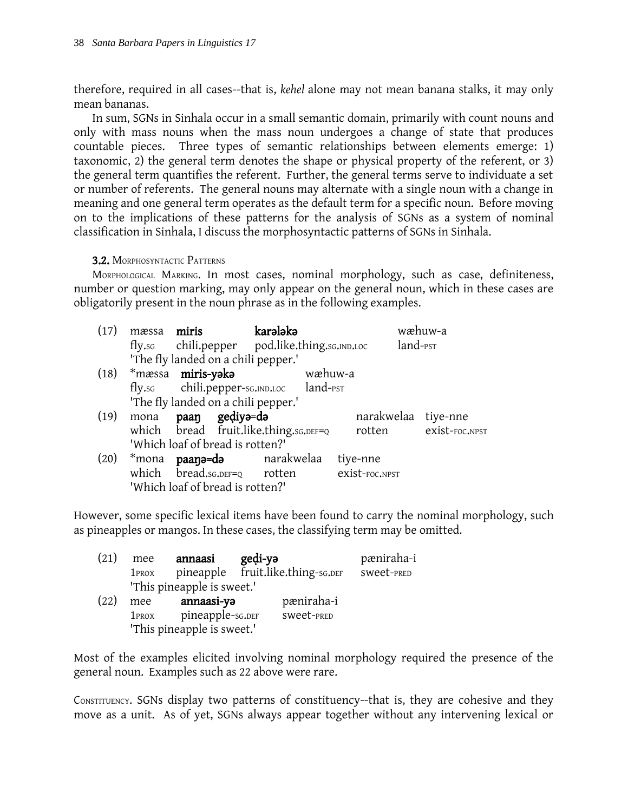therefore, required in all cases--that is, *kehel* alone may not mean banana stalks, it may only mean bananas.

In sum, SGNs in Sinhala occur in a small semantic domain, primarily with count nouns and only with mass nouns when the mass noun undergoes a change of state that produces countable pieces. Three types of semantic relationships between elements emerge: 1) taxonomic, 2) the general term denotes the shape or physical property of the referent, or 3) the general term quantifies the referent. Further, the general terms serve to individuate a set or number of referents. The general nouns may alternate with a single noun with a change in meaning and one general term operates as the default term for a specific noun. Before moving on to the implications of these patterns for the analysis of SGNs as a system of nominal classification in Sinhala, I discuss the morphosyntactic patterns of SGNs in Sinhala.

# 3.2. MORPHOSYNTACTIC PATTERNS

MORPHOLOGICAL MARKING. In most cases, nominal morphology, such as case, definiteness, number or question marking, may only appear on the general noun, which in these cases are obligatorily present in the noun phrase as in the following examples.

| (17) | mæssa miris                      |                | karələkə                                      |         |                |                      | wæhuw-a               |
|------|----------------------------------|----------------|-----------------------------------------------|---------|----------------|----------------------|-----------------------|
|      |                                  |                | fly.sc chili.pepper pod.like.thing.sc.IND.LOC |         |                | land- <sub>PST</sub> |                       |
|      |                                  |                | 'The fly landed on a chili pepper.'           |         |                |                      |                       |
|      | (18) *mæssa <b>miris-yəkə</b>    |                |                                               | wæhuw-a |                |                      |                       |
|      |                                  |                | fly.sc chili.pepper-sc.IND.LOC land-PST       |         |                |                      |                       |
|      |                                  |                | 'The fly landed on a chili pepper.'           |         |                |                      |                       |
| (19) | mona                             | paaŋ geḍiyə=də |                                               |         |                |                      | narakwelaa tiye-nne   |
|      |                                  |                | which bread fruit.like.thing.sg. DEF=Q        |         |                |                      | rotten exist-FOC.NPST |
|      | 'Which loaf of bread is rotten?' |                |                                               |         |                |                      |                       |
| (20) |                                  |                | *mona <b>paana=da</b> narakwelaa              |         | tiye-nne       |                      |                       |
|      |                                  |                | which bread.sg.DEF=Q rotten                   |         | exist-foc.npst |                      |                       |
|      | 'Which loaf of bread is rotten?' |                |                                               |         |                |                      |                       |

However, some specific lexical items have been found to carry the nominal morphology, such as pineapples or mangos. In these cases, the classifying term may be omitted.

| (21) | mee               | annaasi                    | gedi-ya |                                   | pæniraha-i |
|------|-------------------|----------------------------|---------|-----------------------------------|------------|
|      | 1 <sub>PROX</sub> |                            |         | pineapple fruit.like.thing-sG.DEF | SWeet-PRED |
|      |                   | 'This pineapple is sweet.' |         |                                   |            |
| (22) | mee               | annaasi-ya                 |         | pæniraha-i                        |            |
|      | 1 <sub>PROX</sub> | pineapple-sc.DEF           |         | SWeet-PRED                        |            |
|      |                   | 'This pineapple is sweet.' |         |                                   |            |

Most of the examples elicited involving nominal morphology required the presence of the general noun. Examples such as 22 above were rare.

CONSTITUENCY. SGNs display two patterns of constituency--that is, they are cohesive and they move as a unit. As of yet, SGNs always appear together without any intervening lexical or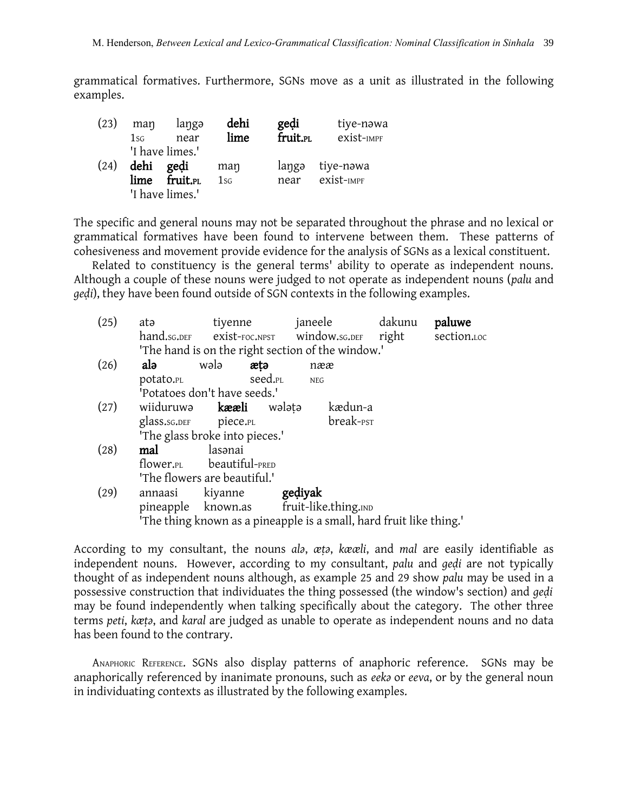grammatical formatives. Furthermore, SGNs move as a unit as illustrated in the following examples.

| (23) | man<br>1sG | langə<br>near        | dehi<br>lime | gedi<br>fruit.pl | tiye-nawa<br>exist-IMPF |
|------|------------|----------------------|--------------|------------------|-------------------------|
|      |            | 'I have limes.'      |              |                  |                         |
| (24) | dehi       | gedi                 | man          | langə            | tiye-nəwa               |
|      | lime       | fruit. <sub>PL</sub> | 1sG          | near             | exist-IMPF              |
|      |            | 'I have limes.'      |              |                  |                         |

The specific and general nouns may not be separated throughout the phrase and no lexical or grammatical formatives have been found to intervene between them. These patterns of cohesiveness and movement provide evidence for the analysis of SGNs as a lexical constituent.

Related to constituency is the general terms' ability to operate as independent nouns. Although a couple of these nouns were judged to not operate as independent nouns (*palu* and *gedi*), they have been found outside of SGN contexts in the following examples.

| (25)                                                                | atə                                               |                               | tiyenne janeele dakunu                                     |  | paluwe |  |
|---------------------------------------------------------------------|---------------------------------------------------|-------------------------------|------------------------------------------------------------|--|--------|--|
|                                                                     |                                                   |                               | hand.sG.DEF exist-FOC.NPST window.sG.DEF right section.LOC |  |        |  |
|                                                                     | 'The hand is on the right section of the window.' |                               |                                                            |  |        |  |
| (26)                                                                | alə                                               | wələ<br>ætə                   | nææ                                                        |  |        |  |
|                                                                     | potato.pl                                         | seed. <sub>PL</sub>           | <b>NEG</b>                                                 |  |        |  |
|                                                                     |                                                   |                               |                                                            |  |        |  |
| (27)                                                                |                                                   | wiiduruwa <b>kææli</b> walata | kædun-a                                                    |  |        |  |
|                                                                     | glass.sg.DEF piece.PL                             |                               | break- <sub>PST</sub>                                      |  |        |  |
|                                                                     | 'The glass broke into pieces.'                    |                               |                                                            |  |        |  |
| (28)                                                                | mal                                               | lasənai                       |                                                            |  |        |  |
|                                                                     |                                                   | flower.PL beautiful-PRED      |                                                            |  |        |  |
|                                                                     | 'The flowers are beautiful.'                      |                               |                                                            |  |        |  |
| (29)                                                                | annaasi                                           | kiyanne <b>gediyak</b>        |                                                            |  |        |  |
|                                                                     |                                                   |                               | pineapple known.as fruit-like.thing.IND                    |  |        |  |
| 'The thing known as a pineapple is a small, hard fruit like thing.' |                                                   |                               |                                                            |  |        |  |

According to my consultant, the nouns *alǝ*, *æṭǝ*, *kææli*, and *mal* are easily identifiable as independent nouns. However, according to my consultant, *palu* and *geḍi* are not typically thought of as independent nouns although, as example 25 and 29 show *palu* may be used in a possessive construction that individuates the thing possessed (the window's section) and *geḍi* may be found independently when talking specifically about the category. The other three terms *peti*, *kæṭǝ*, and *karal* are judged as unable to operate as independent nouns and no data has been found to the contrary.

ANAPHORIC REFERENCE. SGNs also display patterns of anaphoric reference. SGNs may be anaphorically referenced by inanimate pronouns, such as *eek*<sup>2</sup> or *eeva*, or by the general noun in individuating contexts as illustrated by the following examples.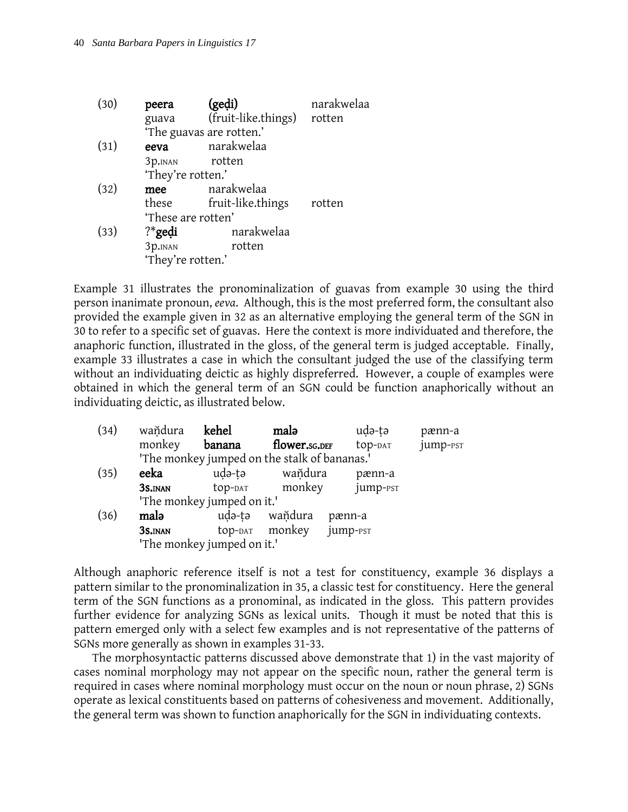| (30) | peera<br>guava     | (gedi)<br>(fruit-like.things) rotten | narakwelaa |
|------|--------------------|--------------------------------------|------------|
|      |                    | 'The guavas are rotten.'             |            |
| (31) | eeva               | narakwelaa                           |            |
|      | 3p.INAN            | rotten                               |            |
|      | 'They're rotten.'  |                                      |            |
| (32) | mee                | narakwelaa                           |            |
|      | these              | fruit-like.things                    | rotten     |
|      | 'These are rotten' |                                      |            |
| (33) | $?$ *gedi          | narakwelaa                           |            |
|      | 3p.INAN            | rotten                               |            |
|      | 'They're rotten.'  |                                      |            |
|      |                    |                                      |            |

Example 31 illustrates the pronominalization of guavas from example 30 using the third person inanimate pronoun, *eeva*. Although, this is the most preferred form, the consultant also provided the example given in 32 as an alternative employing the general term of the SGN in 30 to refer to a specific set of guavas. Here the context is more individuated and therefore, the anaphoric function, illustrated in the gloss, of the general term is judged acceptable. Finally, example 33 illustrates a case in which the consultant judged the use of the classifying term without an individuating deictic as highly dispreferred. However, a couple of examples were obtained in which the general term of an SGN could be function anaphorically without an individuating deictic, as illustrated below.

| (34) | waňdura                                      | kehel   | malə                       | uda-ta               | pænn-a   |
|------|----------------------------------------------|---------|----------------------------|----------------------|----------|
|      | monkey                                       | banana  | flower.sg.DEF              | top-DAT              | jump-PST |
|      | 'The monkey jumped on the stalk of bananas.' |         |                            |                      |          |
| (35) | eeka                                         | udə-tə  | waňdura                    | pænn-a               |          |
|      | 3S.INAN                                      | top-dat | monkey                     | jump-pst             |          |
|      | 'The monkey jumped on it.'                   |         |                            |                      |          |
| (36) | malə                                         |         | uda-ta wandura             | pænn-a               |          |
|      | 3S.INAN                                      |         | top- <sub>DAT</sub> monkey | jump- <sub>PST</sub> |          |
|      | 'The monkey jumped on it.'                   |         |                            |                      |          |

Although anaphoric reference itself is not a test for constituency, example 36 displays a pattern similar to the pronominalization in 35, a classic test for constituency. Here the general term of the SGN functions as a pronominal, as indicated in the gloss. This pattern provides further evidence for analyzing SGNs as lexical units. Though it must be noted that this is pattern emerged only with a select few examples and is not representative of the patterns of SGNs more generally as shown in examples 31-33.

The morphosyntactic patterns discussed above demonstrate that 1) in the vast majority of cases nominal morphology may not appear on the specific noun, rather the general term is required in cases where nominal morphology must occur on the noun or noun phrase, 2) SGNs operate as lexical constituents based on patterns of cohesiveness and movement. Additionally, the general term was shown to function anaphorically for the SGN in individuating contexts.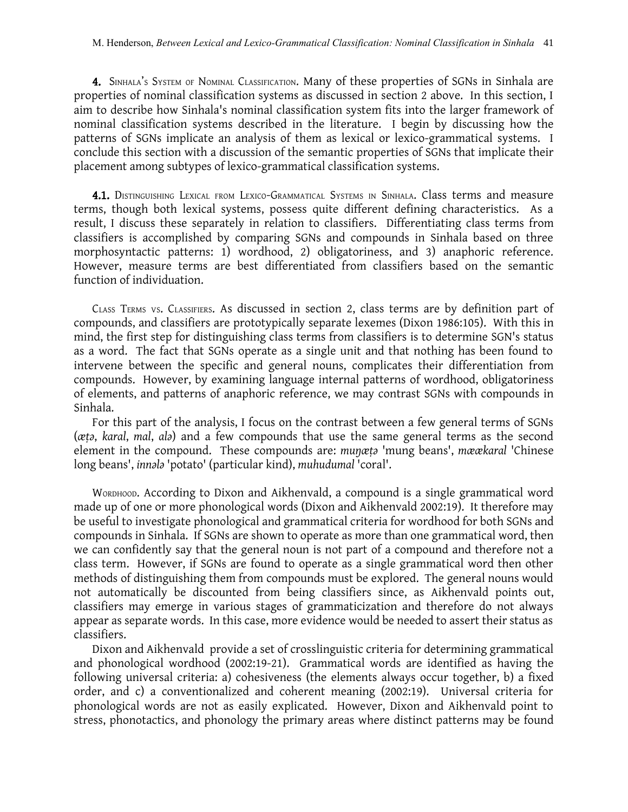4. SINHALA's SYSTEM OF NOMINAL CLASSIFICATION. Many of these properties of SGNs in Sinhala are properties of nominal classification systems as discussed in section 2 above. In this section, I aim to describe how Sinhala's nominal classification system fits into the larger framework of nominal classification systems described in the literature. I begin by discussing how the patterns of SGNs implicate an analysis of them as lexical or lexico-grammatical systems. I conclude this section with a discussion of the semantic properties of SGNs that implicate their placement among subtypes of lexico-grammatical classification systems.

4.1. DISTINGUISHING LEXICAL FROM LEXICO-GRAMMATICAL SYSTEMS IN SINHALA. Class terms and measure terms, though both lexical systems, possess quite different defining characteristics. As a result, I discuss these separately in relation to classifiers. Differentiating class terms from classifiers is accomplished by comparing SGNs and compounds in Sinhala based on three morphosyntactic patterns: 1) wordhood, 2) obligatoriness, and 3) anaphoric reference. However, measure terms are best differentiated from classifiers based on the semantic function of individuation.

CLASS TERMS VS. CLASSIFIERS. As discussed in section 2, class terms are by definition part of compounds, and classifiers are prototypically separate lexemes (Dixon 1986:105). With this in mind, the first step for distinguishing class terms from classifiers is to determine SGN's status as a word. The fact that SGNs operate as a single unit and that nothing has been found to intervene between the specific and general nouns, complicates their differentiation from compounds. However, by examining language internal patterns of wordhood, obligatoriness of elements, and patterns of anaphoric reference, we may contrast SGNs with compounds in Sinhala.

For this part of the analysis, I focus on the contrast between a few general terms of SGNs (*æṭǝ*, *karal*, *mal*, *alǝ*) and a few compounds that use the same general terms as the second element in the compound. These compounds are: *muŋæṭǝ* 'mung beans', *mæækaral* 'Chinese long beans', *innǝlǝ* 'potato' (particular kind), *muhudumal* 'coral'.

WORDHOOD. According to Dixon and Aikhenvald, a compound is a single grammatical word made up of one or more phonological words (Dixon and Aikhenvald 2002:19). It therefore may be useful to investigate phonological and grammatical criteria for wordhood for both SGNs and compounds in Sinhala. If SGNs are shown to operate as more than one grammatical word, then we can confidently say that the general noun is not part of a compound and therefore not a class term. However, if SGNs are found to operate as a single grammatical word then other methods of distinguishing them from compounds must be explored. The general nouns would not automatically be discounted from being classifiers since, as Aikhenvald points out, classifiers may emerge in various stages of grammaticization and therefore do not always appear as separate words. In this case, more evidence would be needed to assert their status as classifiers.

Dixon and Aikhenvald provide a set of crosslinguistic criteria for determining grammatical and phonological wordhood (2002:19-21). Grammatical words are identified as having the following universal criteria: a) cohesiveness (the elements always occur together, b) a fixed order, and c) a conventionalized and coherent meaning (2002:19). Universal criteria for phonological words are not as easily explicated. However, Dixon and Aikhenvald point to stress, phonotactics, and phonology the primary areas where distinct patterns may be found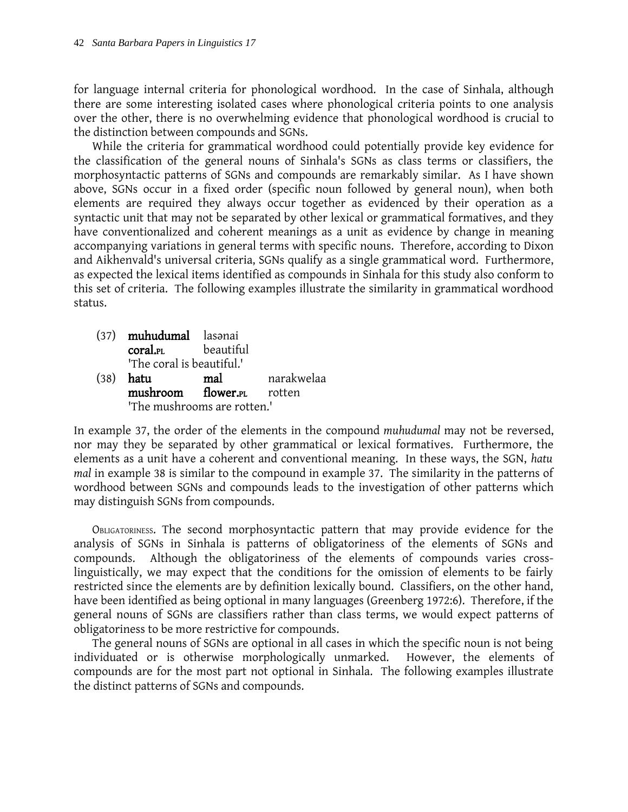for language internal criteria for phonological wordhood. In the case of Sinhala, although there are some interesting isolated cases where phonological criteria points to one analysis over the other, there is no overwhelming evidence that phonological wordhood is crucial to the distinction between compounds and SGNs.

While the criteria for grammatical wordhood could potentially provide key evidence for the classification of the general nouns of Sinhala's SGNs as class terms or classifiers, the morphosyntactic patterns of SGNs and compounds are remarkably similar. As I have shown above, SGNs occur in a fixed order (specific noun followed by general noun), when both elements are required they always occur together as evidenced by their operation as a syntactic unit that may not be separated by other lexical or grammatical formatives, and they have conventionalized and coherent meanings as a unit as evidence by change in meaning accompanying variations in general terms with specific nouns. Therefore, according to Dixon and Aikhenvald's universal criteria, SGNs qualify as a single grammatical word. Furthermore, as expected the lexical items identified as compounds in Sinhala for this study also conform to this set of criteria. The following examples illustrate the similarity in grammatical wordhood status.

- (37) muhudumal lasanai coral.PL beautiful 'The coral is beautiful.'
- (38) hatu mal narakwelaa mushroom flower.<sub>PL</sub> rotten 'The mushrooms are rotten.'

In example 37, the order of the elements in the compound *muhudumal* may not be reversed, nor may they be separated by other grammatical or lexical formatives. Furthermore, the elements as a unit have a coherent and conventional meaning. In these ways, the SGN, *hatu mal* in example 38 is similar to the compound in example 37. The similarity in the patterns of wordhood between SGNs and compounds leads to the investigation of other patterns which may distinguish SGNs from compounds.

OBLIGATORINESS. The second morphosyntactic pattern that may provide evidence for the analysis of SGNs in Sinhala is patterns of obligatoriness of the elements of SGNs and compounds. Although the obligatoriness of the elements of compounds varies crosslinguistically, we may expect that the conditions for the omission of elements to be fairly restricted since the elements are by definition lexically bound. Classifiers, on the other hand, have been identified as being optional in many languages (Greenberg 1972:6). Therefore, if the general nouns of SGNs are classifiers rather than class terms, we would expect patterns of obligatoriness to be more restrictive for compounds.

The general nouns of SGNs are optional in all cases in which the specific noun is not being individuated or is otherwise morphologically unmarked. However, the elements of compounds are for the most part not optional in Sinhala. The following examples illustrate the distinct patterns of SGNs and compounds.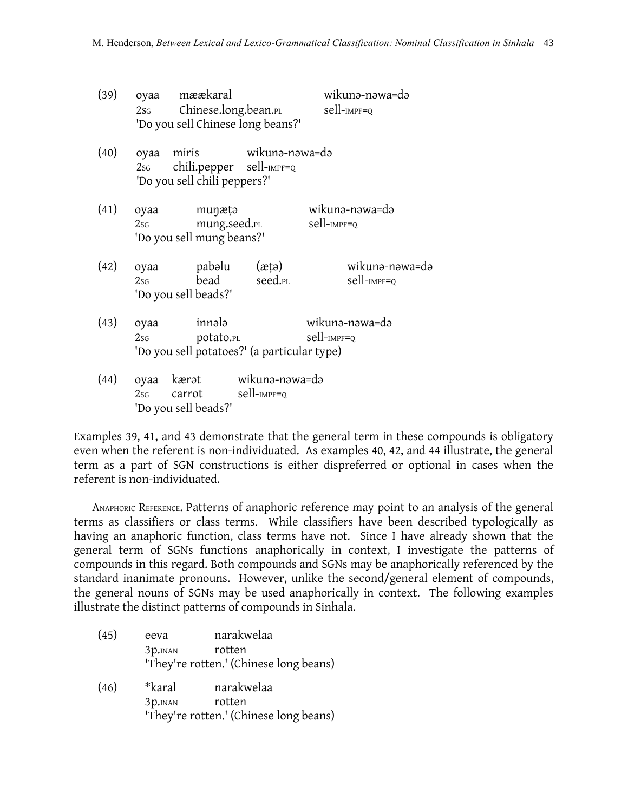| (39) |                | oyaa mæækaral<br>2s <sub>G</sub> Chinese.long.bean.pl<br>'Do you sell Chinese long beans?'     |                     | wikuna-nawa=da<br>sell-impf=Q |
|------|----------------|------------------------------------------------------------------------------------------------|---------------------|-------------------------------|
| (40) |                | oyaa miris wikunə-nəwa=də<br>$2sG$ chili.pepper sell- $IMPF=Q$<br>'Do you sell chili peppers?' |                     |                               |
| (41) | oyaa<br>2sG    | munæțə<br>mung.seed.pl<br>'Do you sell mung beans?'                                            |                     | wikunə-nəwa=də<br>sell-impf=q |
| (42) | oyaa<br>2sG    | pabəlu (ætə)<br>bead<br>'Do you sell beads?'                                                   | seed. <sub>PL</sub> | wikunə-nəwa=də<br>sell-impf=Q |
| (43) | oyaa<br>$2$ sg | innələ<br>potato. <sub>PL</sub><br>'Do you sell potatoes?' (a particular type)                 |                     | wikunə-nəwa=də<br>sell-impf=Q |
| (44) | oyaa           | kærət wikunə-nəwa=də<br>$2sG$ carrot sell- $IMPF=Q$<br>'Do you sell beads?'                    |                     |                               |

Examples 39, 41, and 43 demonstrate that the general term in these compounds is obligatory even when the referent is non-individuated. As examples 40, 42, and 44 illustrate, the general term as a part of SGN constructions is either dispreferred or optional in cases when the referent is non-individuated.

ANAPHORIC REFERENCE. Patterns of anaphoric reference may point to an analysis of the general terms as classifiers or class terms. While classifiers have been described typologically as having an anaphoric function, class terms have not. Since I have already shown that the general term of SGNs functions anaphorically in context, I investigate the patterns of compounds in this regard. Both compounds and SGNs may be anaphorically referenced by the standard inanimate pronouns. However, unlike the second/general element of compounds, the general nouns of SGNs may be used anaphorically in context. The following examples illustrate the distinct patterns of compounds in Sinhala.

- (45) eeva narakwelaa 3p.INAN rotten 'They're rotten.' (Chinese long beans)
- (46) \*karal narakwelaa 3p.INAN rotten 'They're rotten.' (Chinese long beans)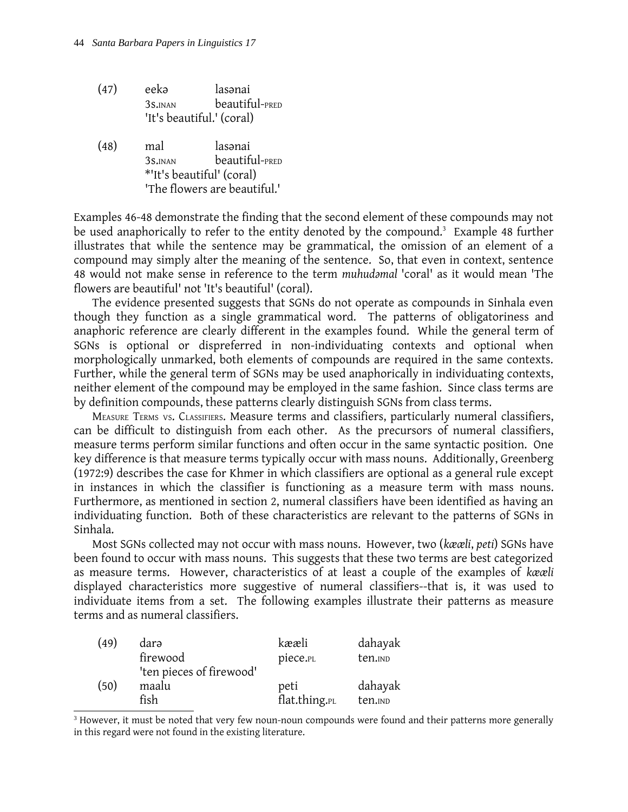- (47) eekǝ lasǝnai 3s.INAN beautiful-PRED 'It's beautiful.' (coral)
- (48) mal lasǝnai 3s.INAN beautiful-PRED \*'It's beautiful' (coral) 'The flowers are beautiful.'

Examples 46-48 demonstrate the finding that the second element of these compounds may not be used anaphorically to refer to the entity denoted by the compound. [3](#page-15-0) Example 48 further illustrates that while the sentence may be grammatical, the omission of an element of a compound may simply alter the meaning of the sentence. So, that even in context, sentence 48 would not make sense in reference to the term *muhudǝmal* 'coral' as it would mean 'The flowers are beautiful' not 'It's beautiful' (coral).

The evidence presented suggests that SGNs do not operate as compounds in Sinhala even though they function as a single grammatical word. The patterns of obligatoriness and anaphoric reference are clearly different in the examples found. While the general term of SGNs is optional or dispreferred in non-individuating contexts and optional when morphologically unmarked, both elements of compounds are required in the same contexts. Further, while the general term of SGNs may be used anaphorically in individuating contexts, neither element of the compound may be employed in the same fashion. Since class terms are by definition compounds, these patterns clearly distinguish SGNs from class terms.

MEASURE TERMS VS. CLASSIFIERS. Measure terms and classifiers, particularly numeral classifiers, can be difficult to distinguish from each other. As the precursors of numeral classifiers, measure terms perform similar functions and often occur in the same syntactic position. One key difference is that measure terms typically occur with mass nouns. Additionally, Greenberg (1972:9) describes the case for Khmer in which classifiers are optional as a general rule except in instances in which the classifier is functioning as a measure term with mass nouns. Furthermore, as mentioned in section 2, numeral classifiers have been identified as having an individuating function. Both of these characteristics are relevant to the patterns of SGNs in Sinhala.

Most SGNs collected may not occur with mass nouns. However, two (*kææli*, *peti*) SGNs have been found to occur with mass nouns. This suggests that these two terms are best categorized as measure terms. However, characteristics of at least a couple of the examples of *kææli* displayed characteristics more suggestive of numeral classifiers--that is, it was used to individuate items from a set. The following examples illustrate their patterns as measure terms and as numeral classifiers.

| (49) | darə                     | kææli         | dahayak |
|------|--------------------------|---------------|---------|
|      | firewood                 | piece.PL      | ten.IND |
|      | 'ten pieces of firewood' |               |         |
| (50) | maalu                    | peti          | dahayak |
|      | fish                     | flat.thing.PL | ten.IND |

<span id="page-15-0"></span><sup>&</sup>lt;sup>3</sup> However, it must be noted that very few noun-noun compounds were found and their patterns more generally in this regard were not found in the existing literature.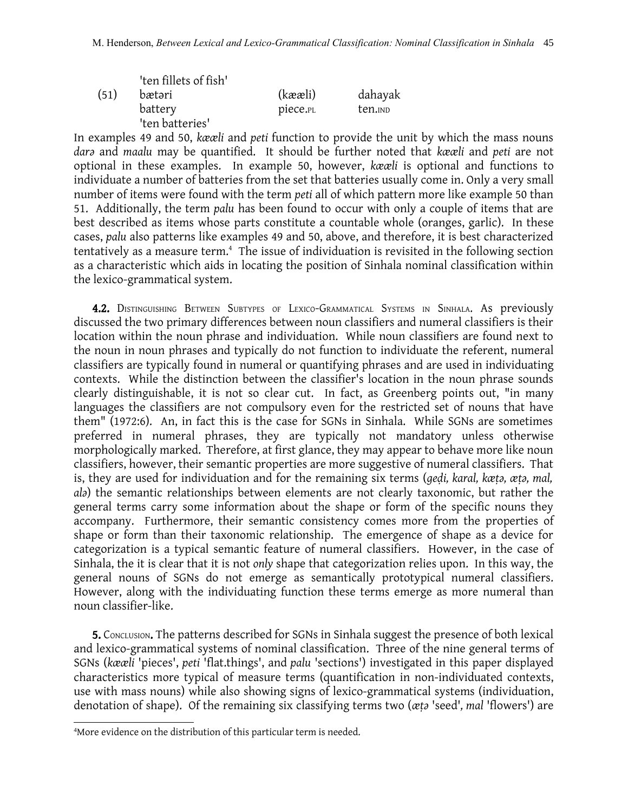|      | 'ten fillets of fish' |          |                     |
|------|-----------------------|----------|---------------------|
| (51) | bætəri                | (kææli)  | dahayak             |
|      | battery               | piece.PL | ten. <sub>IND</sub> |
|      | 'ten batteries'       |          |                     |

In examples 49 and 50, *kææli* and *peti* function to provide the unit by which the mass nouns *darǝ* and *maalu* may be quantified. It should be further noted that *kææli* and *peti* are not optional in these examples. In example 50, however, *kææli* is optional and functions to individuate a number of batteries from the set that batteries usually come in. Only a very small number of items were found with the term *peti* all of which pattern more like example 50 than 51. Additionally, the term *palu* has been found to occur with only a couple of items that are best described as items whose parts constitute a countable whole (oranges, garlic). In these cases, *palu* also patterns like examples 49 and 50, above, and therefore, it is best characterized tentatively as a measure term. [4](#page-16-0) The issue of individuation is revisited in the following section as a characteristic which aids in locating the position of Sinhala nominal classification within the lexico-grammatical system.

4.2. DISTINGUISHING BETWEEN SUBTYPES OF LEXICO-GRAMMATICAL SYSTEMS IN SINHALA. AS previously discussed the two primary differences between noun classifiers and numeral classifiers is their location within the noun phrase and individuation. While noun classifiers are found next to the noun in noun phrases and typically do not function to individuate the referent, numeral classifiers are typically found in numeral or quantifying phrases and are used in individuating contexts. While the distinction between the classifier's location in the noun phrase sounds clearly distinguishable, it is not so clear cut. In fact, as Greenberg points out, "in many languages the classifiers are not compulsory even for the restricted set of nouns that have them" (1972:6). An, in fact this is the case for SGNs in Sinhala. While SGNs are sometimes preferred in numeral phrases, they are typically not mandatory unless otherwise morphologically marked. Therefore, at first glance, they may appear to behave more like noun classifiers, however, their semantic properties are more suggestive of numeral classifiers. That is, they are used for individuation and for the remaining six terms (*geḍi, karal, kæṭǝ, æṭǝ, mal, al*a) the semantic relationships between elements are not clearly taxonomic, but rather the general terms carry some information about the shape or form of the specific nouns they accompany. Furthermore, their semantic consistency comes more from the properties of shape or form than their taxonomic relationship. The emergence of shape as a device for categorization is a typical semantic feature of numeral classifiers. However, in the case of Sinhala, the it is clear that it is not *only* shape that categorization relies upon. In this way, the general nouns of SGNs do not emerge as semantically prototypical numeral classifiers. However, along with the individuating function these terms emerge as more numeral than noun classifier-like.

**5.** CONCLUSION. The patterns described for SGNs in Sinhala suggest the presence of both lexical and lexico-grammatical systems of nominal classification. Three of the nine general terms of SGNs (*kææli* 'pieces', *peti* 'flat.things', and *palu* 'sections') investigated in this paper displayed characteristics more typical of measure terms (quantification in non-individuated contexts, use with mass nouns) while also showing signs of lexico-grammatical systems (individuation, denotation of shape). Of the remaining six classifying terms two (*æṭǝ* 'seed'*, mal* 'flowers') are

<span id="page-16-0"></span><sup>4</sup>More evidence on the distribution of this particular term is needed.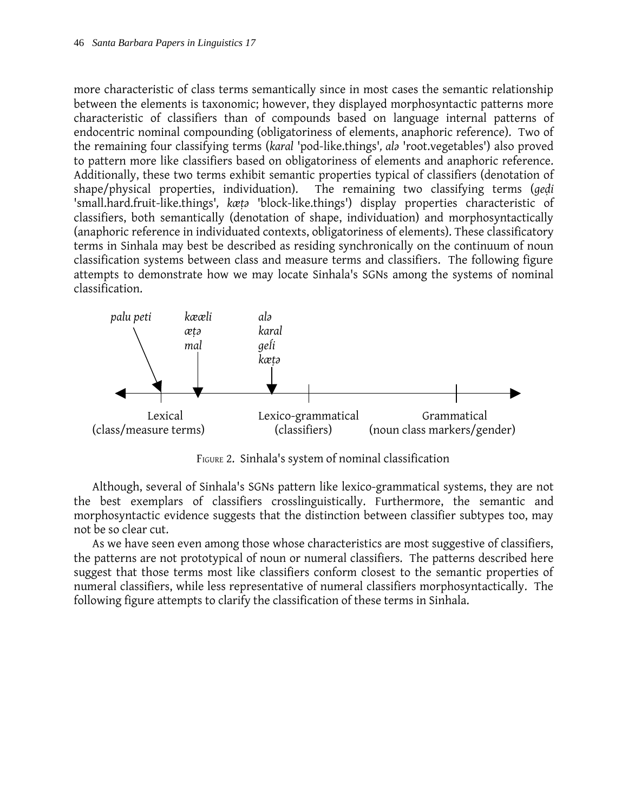more characteristic of class terms semantically since in most cases the semantic relationship between the elements is taxonomic; however, they displayed morphosyntactic patterns more characteristic of classifiers than of compounds based on language internal patterns of endocentric nominal compounding (obligatoriness of elements, anaphoric reference). Two of the remaining four classifying terms (*karal* 'pod-like.things'*, alǝ* 'root.vegetables') also proved to pattern more like classifiers based on obligatoriness of elements and anaphoric reference. Additionally, these two terms exhibit semantic properties typical of classifiers (denotation of shape/physical properties, individuation). The remaining two classifying terms (*geḍi* 'small.hard.fruit-like.things'*, kæṭǝ* 'block-like.things') display properties characteristic of classifiers, both semantically (denotation of shape, individuation) and morphosyntactically (anaphoric reference in individuated contexts, obligatoriness of elements). These classificatory terms in Sinhala may best be described as residing synchronically on the continuum of noun classification systems between class and measure terms and classifiers. The following figure attempts to demonstrate how we may locate Sinhala's SGNs among the systems of nominal classification.



FIGURE 2. Sinhala's system of nominal classification

Although, several of Sinhala's SGNs pattern like lexico-grammatical systems, they are not the best exemplars of classifiers crosslinguistically. Furthermore, the semantic and morphosyntactic evidence suggests that the distinction between classifier subtypes too, may not be so clear cut.

As we have seen even among those whose characteristics are most suggestive of classifiers, the patterns are not prototypical of noun or numeral classifiers. The patterns described here suggest that those terms most like classifiers conform closest to the semantic properties of numeral classifiers, while less representative of numeral classifiers morphosyntactically. The following figure attempts to clarify the classification of these terms in Sinhala.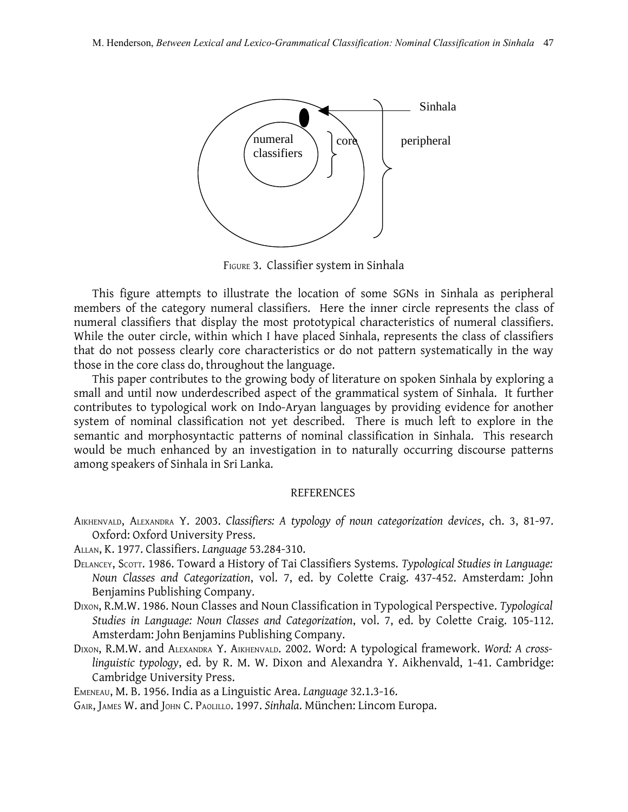

FIGURE 3. Classifier system in Sinhala

This figure attempts to illustrate the location of some SGNs in Sinhala as peripheral members of the category numeral classifiers. Here the inner circle represents the class of numeral classifiers that display the most prototypical characteristics of numeral classifiers. While the outer circle, within which I have placed Sinhala, represents the class of classifiers that do not possess clearly core characteristics or do not pattern systematically in the way those in the core class do, throughout the language.

This paper contributes to the growing body of literature on spoken Sinhala by exploring a small and until now underdescribed aspect of the grammatical system of Sinhala. It further contributes to typological work on Indo-Aryan languages by providing evidence for another system of nominal classification not yet described. There is much left to explore in the semantic and morphosyntactic patterns of nominal classification in Sinhala. This research would be much enhanced by an investigation in to naturally occurring discourse patterns among speakers of Sinhala in Sri Lanka.

#### REFERENCES

- AIKHENVALD, ALEXANDRA Y. 2003. *Classifiers: A typology of noun categorization devices*, ch. 3, 81-97. Oxford: Oxford University Press.
- ALLAN, K. 1977. Classifiers. *Language* 53.284-310.
- DELANCEY, SCOTT. 1986. Toward a History of Tai Classifiers Systems. *Typological Studies in Language: Noun Classes and Categorization*, vol. 7, ed. by Colette Craig. 437-452. Amsterdam: John Benjamins Publishing Company.
- DIXON, R.M.W. 1986. Noun Classes and Noun Classification in Typological Perspective. *Typological Studies in Language: Noun Classes and Categorization*, vol. 7, ed. by Colette Craig. 105-112. Amsterdam: John Benjamins Publishing Company.
- DIXON, R.M.W. and ALEXANDRA Y. AIKHENVALD. 2002. Word: A typological framework. *Word: A crosslinguistic typology*, ed. by R. M. W. Dixon and Alexandra Y. Aikhenvald, 1-41. Cambridge: Cambridge University Press.

EMENEAU, M. B. 1956. India as a Linguistic Area. *Language* 32.1.3-16.

GAIR, JAMES W. and JOHN C. PAOLILLO. 1997. *Sinhala*. München: Lincom Europa.